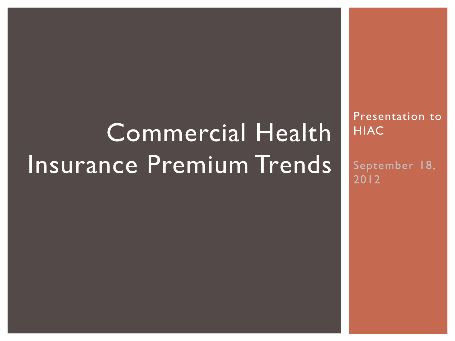# Commercial Health Insurance Premium Trends

Presentation to **HIAC** 

September 18, 2012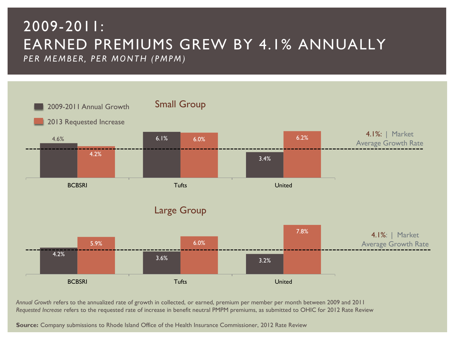#### 2009-2011: EARNED PREMIUMS GREW BY 4.1% ANNUALLY *P E R M E M B E R, P E R M O N T H ( P M P M )*



*Annual Growth* refers to the annualized rate of growth in collected, or earned, premium per member per month between 2009 and 2011 *Requested Increase* refers to the requested rate of increase in benefit neutral PMPM premiums, as submitted to OHIC for 2012 Rate Review

**Source:** Company submissions to Rhode Island Office of the Health Insurance Commissioner, 2012 Rate Review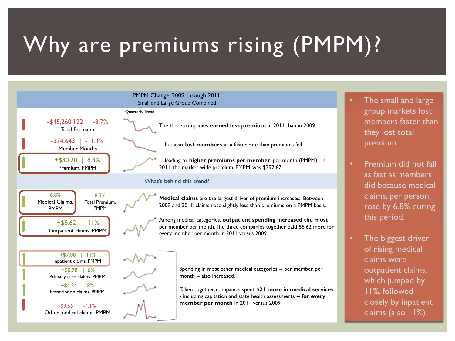## Why are premiums rising (PMPM)?

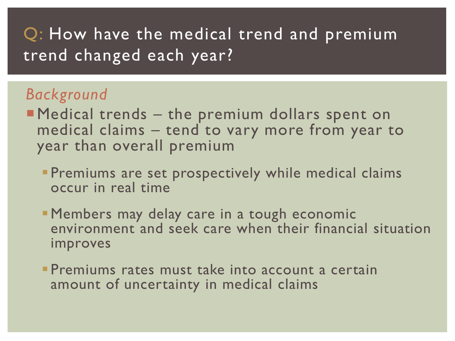#### Q: How have the medical trend and premium trend changed each year?

#### *Background*

- **Medical trends the premium dollars spent on** medical claims – tend to vary more from year to year than overall premium
	- **Premiums are set prospectively while medical claims** occur in real time
	- **Members may delay care in a tough economic** environment and seek care when their financial situation improves
	- **Premiums rates must take into account a certain** amount of uncertainty in medical claims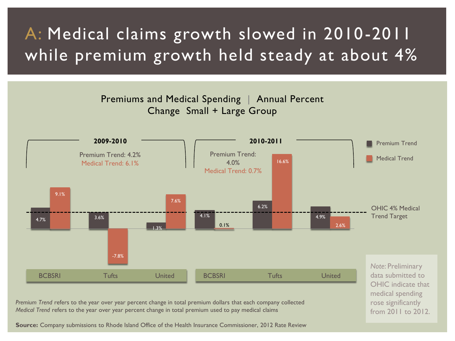#### A: Medical claims growth slowed in 2010-2011 while premium growth held steady at about 4%





**Source:** Company submissions to Rhode Island Office of the Health Insurance Commissioner, 2012 Rate Review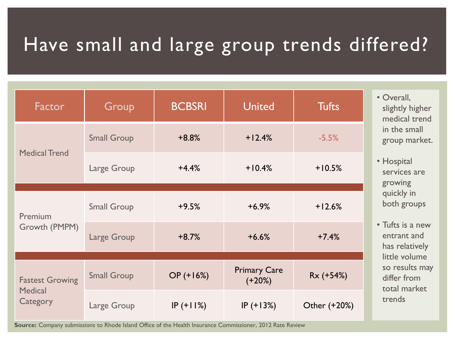### Have small and large group trends differed?

| Factor                                               | Group              | <b>BCBSRI</b> | <b>United</b>                   | <b>Tufts</b> |
|------------------------------------------------------|--------------------|---------------|---------------------------------|--------------|
| <b>Medical Trend</b>                                 | <b>Small Group</b> | $+8.8%$       | $+12.4%$                        | $-5.5%$      |
|                                                      | Large Group        | $+4.4%$       | $+10.4%$                        | $+10.5%$     |
| Premium<br>Growth (PMPM)                             | <b>Small Group</b> | $+9.5%$       | $+6.9%$                         | $+12.6%$     |
|                                                      | Large Group        | $+8.7%$       | $+6.6%$                         | $+7.4%$      |
| <b>Fastest Growing</b><br><b>Medical</b><br>Category | <b>Small Group</b> | $OP (+16%)$   | <b>Primary Care</b><br>$(+20%)$ | Rx (+54%)    |
|                                                      | Large Group        | $IP (+11%)$   | $IP (+13%)$                     | Other (+20%) |

**Source:** Company submissions to Rhode Island Office of the Health Insurance Commissioner, 2012 Rate Review

- $all,$ ly higher cal trend small market.
- ital ces are ing ly in groups
- is a new nt and elatively volume sults may from market trends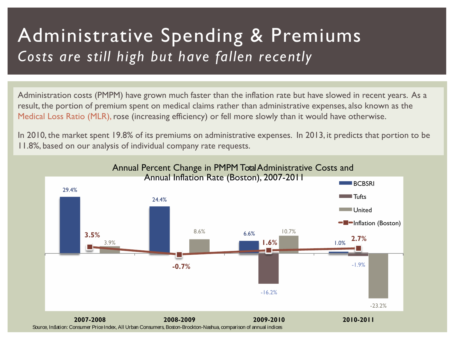#### Administrative Spending & Premiums *Costs are still high but have fallen recently*

Administration costs (PMPM) have grown much faster than the inflation rate but have slowed in recent years. As a result, the portion of premium spent on medical claims rather than administrative expenses, also known as the Medical Loss Ratio (MLR), rose (increasing efficiency) or fell more slowly than it would have otherwise.

In 2010, the market spent 19.8% of its premiums on administrative expenses. In 2013, it predicts that portion to be 11.8%, based on our analysis of individual company rate requests.

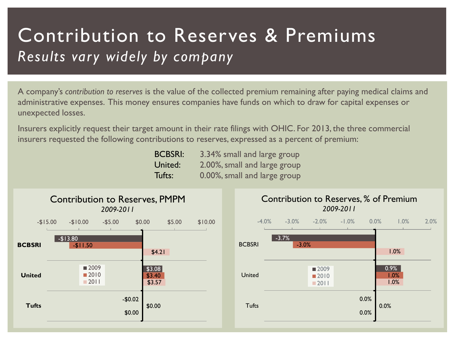#### Contribution to Reserves & Premiums *Results vary widely by company*

A company's *contribution to reserves* is the value of the collected premium remaining after paying medical claims and administrative expenses. This money ensures companies have funds on which to draw for capital expenses or unexpected losses.

Insurers explicitly request their target amount in their rate filings with OHIC. For 2013, the three commercial insurers requested the following contributions to reserves, expressed as a percent of premium:

| <b>BCBSRI:</b> | 3.34% small and large group  |
|----------------|------------------------------|
| United:        | 2.00%, small and large group |
| Tufts:         | 0.00%, small and large group |